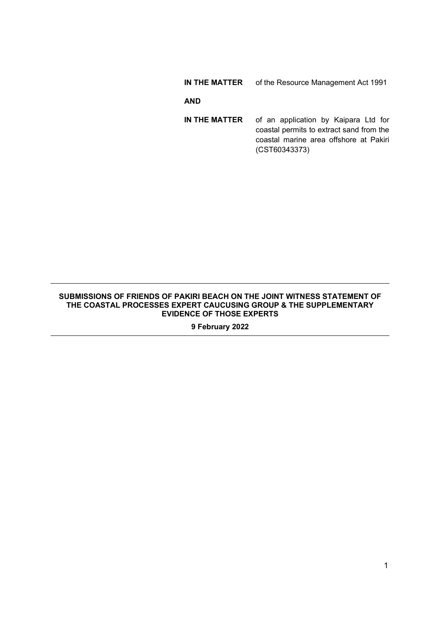### **IN THE MATTER** of the Resource Management Act 1991

### **AND**

**IN THE MATTER** of an application by Kaipara Ltd for coastal permits to extract sand from the coastal marine area offshore at Pakiri (CST60343373)

#### **SUBMISSIONS OF FRIENDS OF PAKIRI BEACH ON THE JOINT WITNESS STATEMENT OF THE COASTAL PROCESSES EXPERT CAUCUSING GROUP & THE SUPPLEMENTARY EVIDENCE OF THOSE EXPERTS**

**9 February 2022**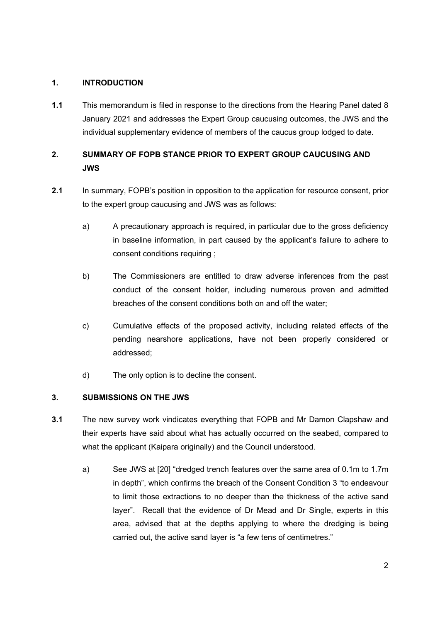## **1. INTRODUCTION**

**1.1** This memorandum is filed in response to the directions from the Hearing Panel dated 8 January 2021 and addresses the Expert Group caucusing outcomes, the JWS and the individual supplementary evidence of members of the caucus group lodged to date.

# **2. SUMMARY OF FOPB STANCE PRIOR TO EXPERT GROUP CAUCUSING AND JWS**

- **2.1** In summary, FOPB's position in opposition to the application for resource consent, prior to the expert group caucusing and JWS was as follows:
	- a) A precautionary approach is required, in particular due to the gross deficiency in baseline information, in part caused by the applicant's failure to adhere to consent conditions requiring ;
	- b) The Commissioners are entitled to draw adverse inferences from the past conduct of the consent holder, including numerous proven and admitted breaches of the consent conditions both on and off the water;
	- c) Cumulative effects of the proposed activity, including related effects of the pending nearshore applications, have not been properly considered or addressed;
	- d) The only option is to decline the consent.

## **3. SUBMISSIONS ON THE JWS**

- **3.1** The new survey work vindicates everything that FOPB and Mr Damon Clapshaw and their experts have said about what has actually occurred on the seabed, compared to what the applicant (Kaipara originally) and the Council understood.
	- a) See JWS at [20] "dredged trench features over the same area of 0.1m to 1.7m in depth", which confirms the breach of the Consent Condition 3 "to endeavour to limit those extractions to no deeper than the thickness of the active sand layer". Recall that the evidence of Dr Mead and Dr Single, experts in this area, advised that at the depths applying to where the dredging is being carried out, the active sand layer is "a few tens of centimetres."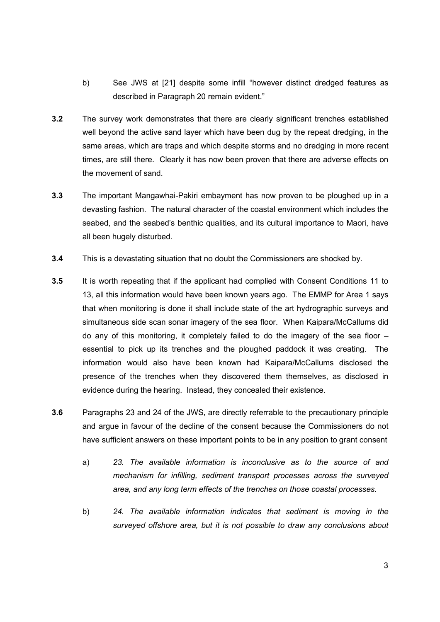- b) See JWS at [21] despite some infill "however distinct dredged features as described in Paragraph 20 remain evident."
- **3.2** The survey work demonstrates that there are clearly significant trenches established well beyond the active sand layer which have been dug by the repeat dredging, in the same areas, which are traps and which despite storms and no dredging in more recent times, are still there. Clearly it has now been proven that there are adverse effects on the movement of sand.
- **3.3** The important Mangawhai-Pakiri embayment has now proven to be ploughed up in a devasting fashion. The natural character of the coastal environment which includes the seabed, and the seabed's benthic qualities, and its cultural importance to Maori, have all been hugely disturbed.
- **3.4** This is a devastating situation that no doubt the Commissioners are shocked by.
- **3.5** It is worth repeating that if the applicant had complied with Consent Conditions 11 to 13, all this information would have been known years ago. The EMMP for Area 1 says that when monitoring is done it shall include state of the art hydrographic surveys and simultaneous side scan sonar imagery of the sea floor. When Kaipara/McCallums did do any of this monitoring, it completely failed to do the imagery of the sea floor – essential to pick up its trenches and the ploughed paddock it was creating. The information would also have been known had Kaipara/McCallums disclosed the presence of the trenches when they discovered them themselves, as disclosed in evidence during the hearing. Instead, they concealed their existence.
- **3.6** Paragraphs 23 and 24 of the JWS, are directly referrable to the precautionary principle and argue in favour of the decline of the consent because the Commissioners do not have sufficient answers on these important points to be in any position to grant consent
	- a) *23. The available information is inconclusive as to the source of and mechanism for infilling, sediment transport processes across the surveyed area, and any long term effects of the trenches on those coastal processes.*
	- b) *24. The available information indicates that sediment is moving in the surveyed offshore area, but it is not possible to draw any conclusions about*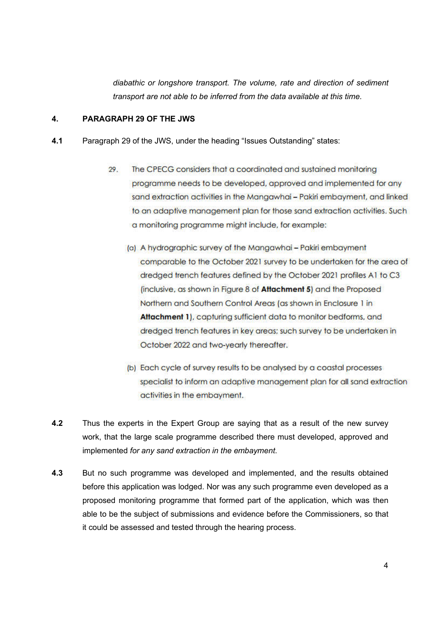*diabathic or longshore transport. The volume, rate and direction of sediment transport are not able to be inferred from the data available at this time.*

## **4. PARAGRAPH 29 OF THE JWS**

- **4.1** Paragraph 29 of the JWS, under the heading "Issues Outstanding" states:
	- 29. The CPECG considers that a coordinated and sustained monitoring programme needs to be developed, approved and implemented for any sand extraction activities in the Mangawhai - Pakiri embayment, and linked to an adaptive management plan for those sand extraction activities. Such a monitoring programme might include, for example:
		- (a) A hydrographic survey of the Mangawhai Pakiri embayment comparable to the October 2021 survey to be undertaken for the area of dredged trench features defined by the October 2021 profiles A1 to C3 (inclusive, as shown in Figure 8 of Attachment 5) and the Proposed Northern and Southern Control Areas (as shown in Enclosure 1 in Attachment 1), capturing sufficient data to monitor bedforms, and dredged trench features in key areas; such survey to be undertaken in October 2022 and two-yearly thereafter.
		- (b) Each cycle of survey results to be analysed by a coastal processes specialist to inform an adaptive management plan for all sand extraction activities in the embayment.
- **4.2** Thus the experts in the Expert Group are saying that as a result of the new survey work, that the large scale programme described there must developed, approved and implemented *for any sand extraction in the embayment*.
- **4.3** But no such programme was developed and implemented, and the results obtained before this application was lodged. Nor was any such programme even developed as a proposed monitoring programme that formed part of the application, which was then able to be the subject of submissions and evidence before the Commissioners, so that it could be assessed and tested through the hearing process.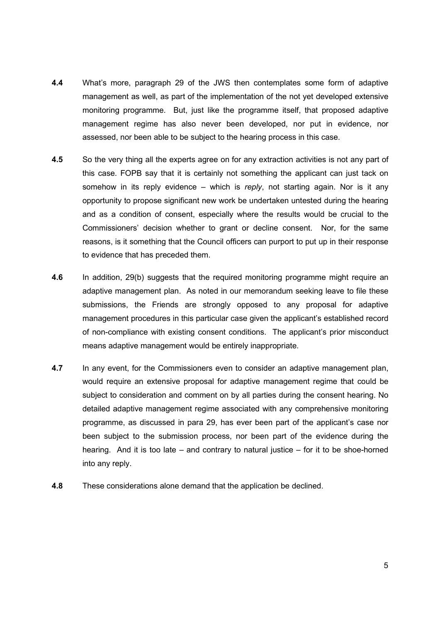- **4.4** What's more, paragraph 29 of the JWS then contemplates some form of adaptive management as well, as part of the implementation of the not yet developed extensive monitoring programme. But, just like the programme itself, that proposed adaptive management regime has also never been developed, nor put in evidence, nor assessed, nor been able to be subject to the hearing process in this case.
- **4.5** So the very thing all the experts agree on for any extraction activities is not any part of this case. FOPB say that it is certainly not something the applicant can just tack on somehow in its reply evidence – which is *reply*, not starting again. Nor is it any opportunity to propose significant new work be undertaken untested during the hearing and as a condition of consent, especially where the results would be crucial to the Commissioners' decision whether to grant or decline consent. Nor, for the same reasons, is it something that the Council officers can purport to put up in their response to evidence that has preceded them.
- **4.6** In addition, 29(b) suggests that the required monitoring programme might require an adaptive management plan. As noted in our memorandum seeking leave to file these submissions, the Friends are strongly opposed to any proposal for adaptive management procedures in this particular case given the applicant's established record of non-compliance with existing consent conditions. The applicant's prior misconduct means adaptive management would be entirely inappropriate.
- **4.7** In any event, for the Commissioners even to consider an adaptive management plan, would require an extensive proposal for adaptive management regime that could be subject to consideration and comment on by all parties during the consent hearing. No detailed adaptive management regime associated with any comprehensive monitoring programme, as discussed in para 29, has ever been part of the applicant's case nor been subject to the submission process, nor been part of the evidence during the hearing. And it is too late – and contrary to natural justice – for it to be shoe-horned into any reply.
- **4.8** These considerations alone demand that the application be declined.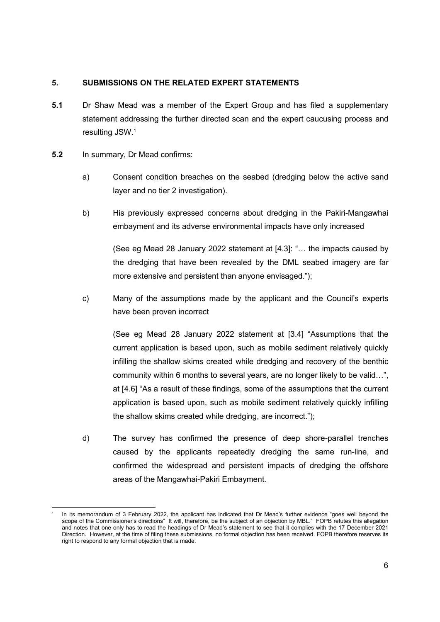## **5. SUBMISSIONS ON THE RELATED EXPERT STATEMENTS**

- **5.1** Dr Shaw Mead was a member of the Expert Group and has filed a supplementary statement addressing the further directed scan and the expert caucusing process and resulting JSW.1
- **5.2** In summary, Dr Mead confirms:
	- a) Consent condition breaches on the seabed (dredging below the active sand layer and no tier 2 investigation).
	- b) His previously expressed concerns about dredging in the Pakiri-Mangawhai embayment and its adverse environmental impacts have only increased

(See eg Mead 28 January 2022 statement at [4.3]: "… the impacts caused by the dredging that have been revealed by the DML seabed imagery are far more extensive and persistent than anyone envisaged.");

c) Many of the assumptions made by the applicant and the Council's experts have been proven incorrect

(See eg Mead 28 January 2022 statement at [3.4] "Assumptions that the current application is based upon, such as mobile sediment relatively quickly infilling the shallow skims created while dredging and recovery of the benthic community within 6 months to several years, are no longer likely to be valid…", at [4.6] "As a result of these findings, some of the assumptions that the current application is based upon, such as mobile sediment relatively quickly infilling the shallow skims created while dredging, are incorrect.");

d) The survey has confirmed the presence of deep shore-parallel trenches caused by the applicants repeatedly dredging the same run-line, and confirmed the widespread and persistent impacts of dredging the offshore areas of the Mangawhai-Pakiri Embayment.

In its memorandum of 3 February 2022, the applicant has indicated that Dr Mead's further evidence "goes well beyond the scope of the Commissioner's directions" It will, therefore, be the subject of an objection by MBL." FOPB refutes this allegation and notes that one only has to read the headings of Dr Mead's statement to see that it complies with the 17 December 2021 Direction. However, at the time of filing these submissions, no formal objection has been received. FOPB therefore reserves its right to respond to any formal objection that is made.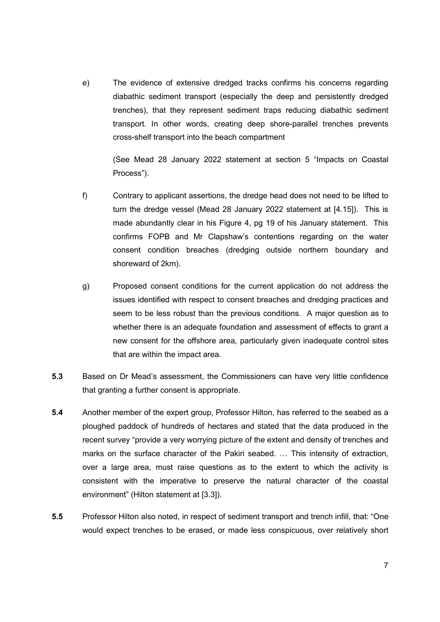e) The evidence of extensive dredged tracks confirms his concerns regarding diabathic sediment transport (especially the deep and persistently dredged trenches), that they represent sediment traps reducing diabathic sediment transport. In other words, creating deep shore-parallel trenches prevents cross-shelf transport into the beach compartment

(See Mead 28 January 2022 statement at section 5 "Impacts on Coastal Process").

- f) Contrary to applicant assertions, the dredge head does not need to be lifted to turn the dredge vessel (Mead 28 January 2022 statement at [4.15]). This is made abundantly clear in his Figure 4, pg 19 of his January statement. This confirms FOPB and Mr Clapshaw's contentions regarding on the water consent condition breaches (dredging outside northern boundary and shoreward of 2km).
- g) Proposed consent conditions for the current application do not address the issues identified with respect to consent breaches and dredging practices and seem to be less robust than the previous conditions. A major question as to whether there is an adequate foundation and assessment of effects to grant a new consent for the offshore area, particularly given inadequate control sites that are within the impact area.
- **5.3** Based on Dr Mead's assessment, the Commissioners can have very little confidence that granting a further consent is appropriate.
- **5.4** Another member of the expert group, Professor Hilton, has referred to the seabed as a ploughed paddock of hundreds of hectares and stated that the data produced in the recent survey "provide a very worrying picture of the extent and density of trenches and marks on the surface character of the Pakiri seabed. … This intensity of extraction, over a large area, must raise questions as to the extent to which the activity is consistent with the imperative to preserve the natural character of the coastal environment" (Hilton statement at [3.3]).
- **5.5** Professor Hilton also noted, in respect of sediment transport and trench infill, that: "One would expect trenches to be erased, or made less conspicuous, over relatively short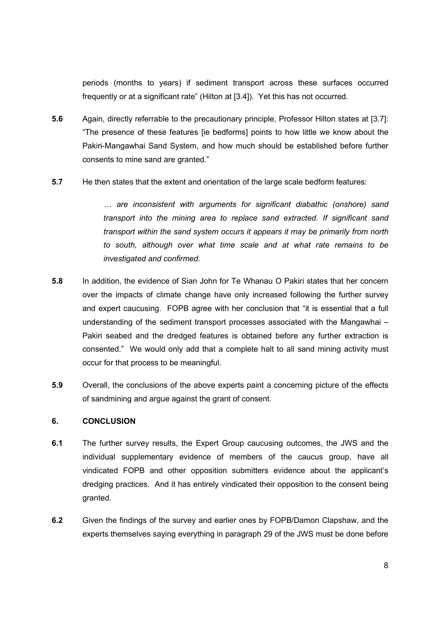periods (months to years) if sediment transport across these surfaces occurred frequently or at a significant rate" (Hilton at [3.4]). Yet this has not occurred.

- **5.6** Again, directly referrable to the precautionary principle, Professor Hilton states at [3.7]: "The presence of these features [ie bedforms] points to how little we know about the Pakiri-Mangawhai Sand System, and how much should be established before further consents to mine sand are granted."
- **5.7** He then states that the extent and orientation of the large scale bedform features:

*… are inconsistent with arguments for significant diabathic (onshore) sand transport into the mining area to replace sand extracted. If significant sand transport within the sand system occurs it appears it may be primarily from north to south, although over what time scale and at what rate remains to be investigated and confirmed.*

- **5.8** In addition, the evidence of Sian John for Te Whanau O Pakiri states that her concern over the impacts of climate change have only increased following the further survey and expert caucusing. FOPB agree with her conclusion that "it is essential that a full understanding of the sediment transport processes associated with the Mangawhai – Pakiri seabed and the dredged features is obtained before any further extraction is consented." We would only add that a complete halt to all sand mining activity must occur for that process to be meaningful.
- **5.9** Overall, the conclusions of the above experts paint a concerning picture of the effects of sandmining and argue against the grant of consent.

### **6. CONCLUSION**

- **6.1** The further survey results, the Expert Group caucusing outcomes, the JWS and the individual supplementary evidence of members of the caucus group, have all vindicated FOPB and other opposition submitters evidence about the applicant's dredging practices. And it has entirely vindicated their opposition to the consent being granted.
- **6.2** Given the findings of the survey and earlier ones by FOPB/Damon Clapshaw, and the experts themselves saying everything in paragraph 29 of the JWS must be done before